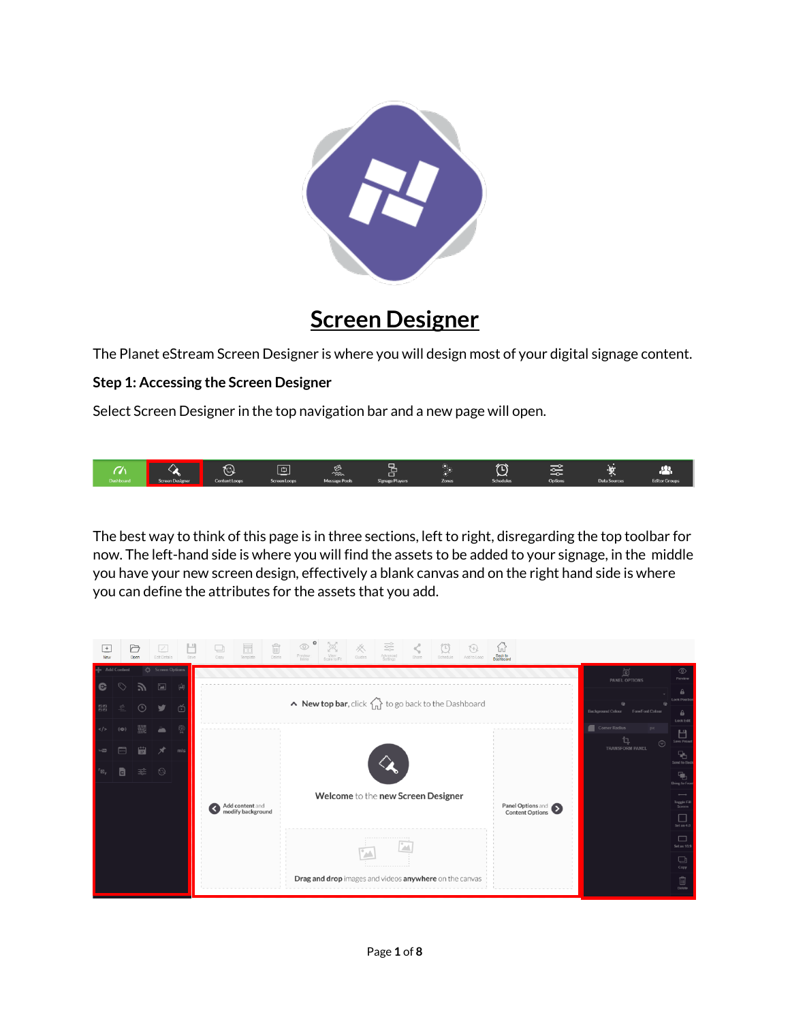

# **Screen Designer**

The Planet eStream Screen Designer is where you will design most of your digital signage content.

# **Step 1: Accessing the Screen Designer**

Select Screen Designer in the top navigation bar and a new page will open.



The best way to think of this page is in three sections, left to right, disregarding the top toolbar for now. The left-hand side is where you will find the assets to be added to your signage, in the middle you have your new screen design, effectively a blank canvas and on the right hand side is where you can define the attributes for the assets that you add.

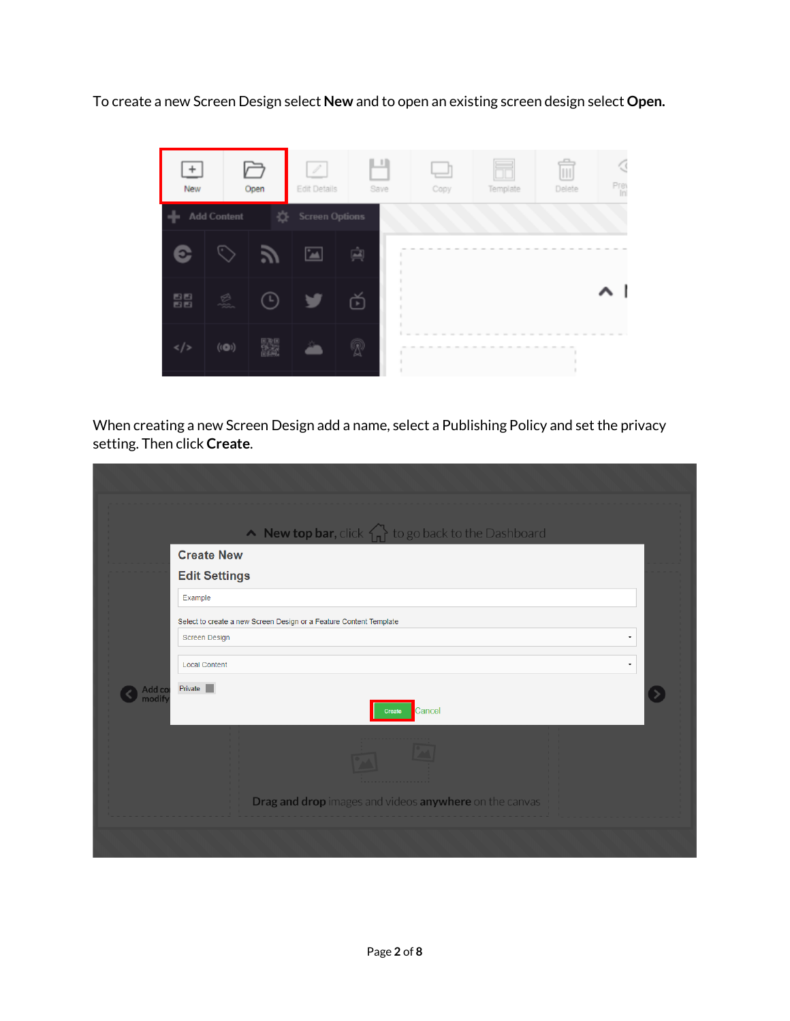To create a new Screen Design select **New** and to open an existing screen design select **Open.**



When creating a new Screen Design add a name, select a Publishing Policy and set the privacy setting. Then click **Create**.

|                 | $\wedge$ New top bar, click $\left\{\right\}$ to go back to the Dashboard<br><b>Create New</b> |   |
|-----------------|------------------------------------------------------------------------------------------------|---|
|                 | <b>Edit Settings</b>                                                                           |   |
|                 | Example                                                                                        |   |
|                 | Select to create a new Screen Design or a Feature Content Template                             |   |
|                 | <b>Screen Design</b>                                                                           | ۰ |
|                 | <b>Local Content</b>                                                                           | ۰ |
| Add co<br>modif | Private<br>Cancel<br>Create                                                                    |   |
|                 |                                                                                                |   |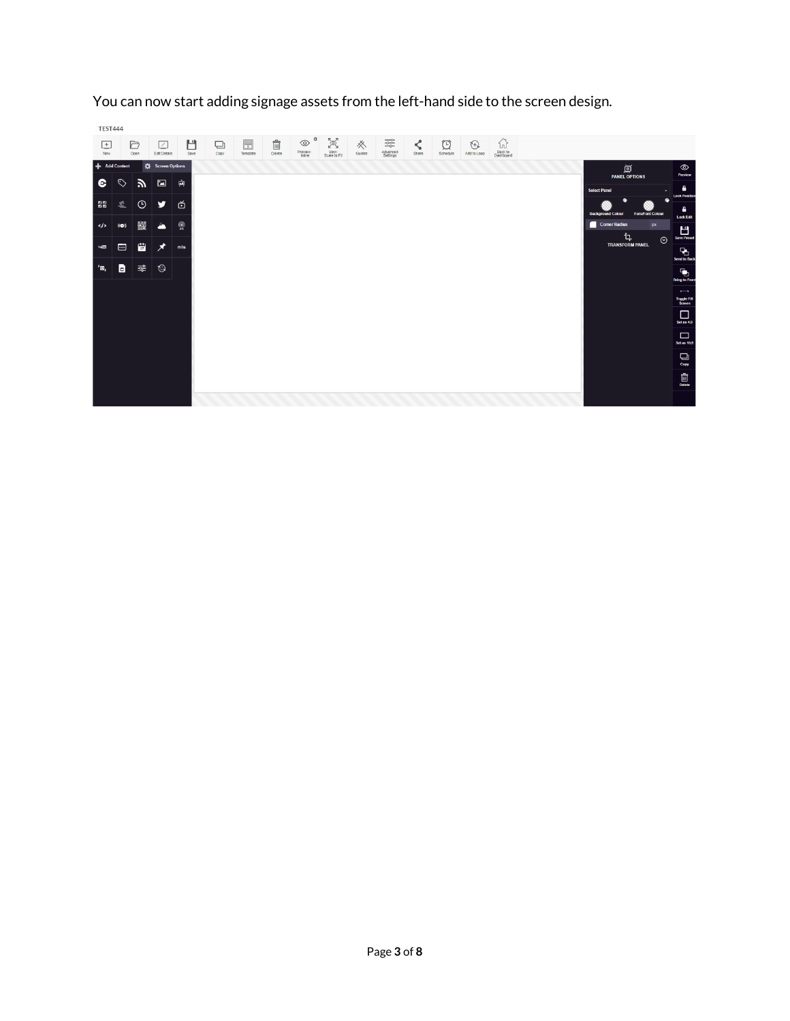

You can now start adding signage assets from the left-hand side to the screen design.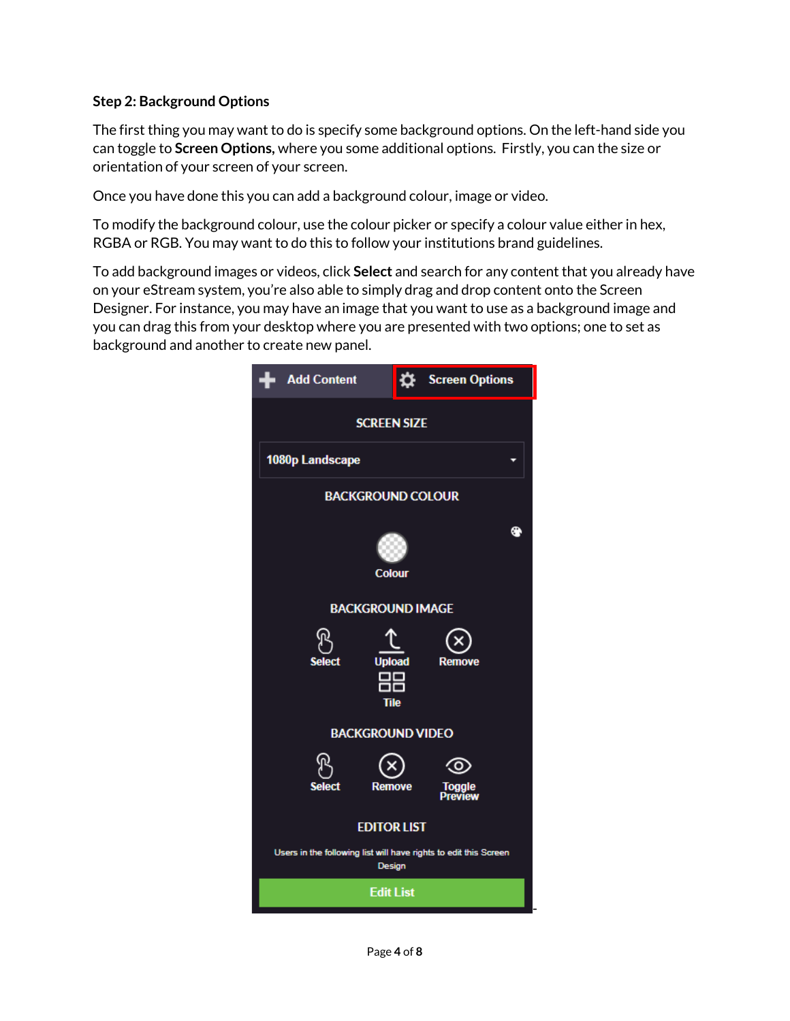### **Step 2: Background Options**

The first thing you may want to do is specify some background options. On the left-hand side you can toggle to **Screen Options,** where you some additional options. Firstly, you can the size or orientation of your screen of your screen.

Once you have done this you can add a background colour, image or video.

To modify the background colour, use the colour picker or specify a colour value either in hex, RGBA or RGB. You may want to do this to follow your institutions brand guidelines.

To add background images or videos, click **Select** and search for any content that you already have on your eStream system, you're also able to simply drag and drop content onto the Screen Designer. For instance, you may have an image that you want to use as a background image and you can drag this from your desktop where you are presented with two options; one to set as background and another to create new panel.

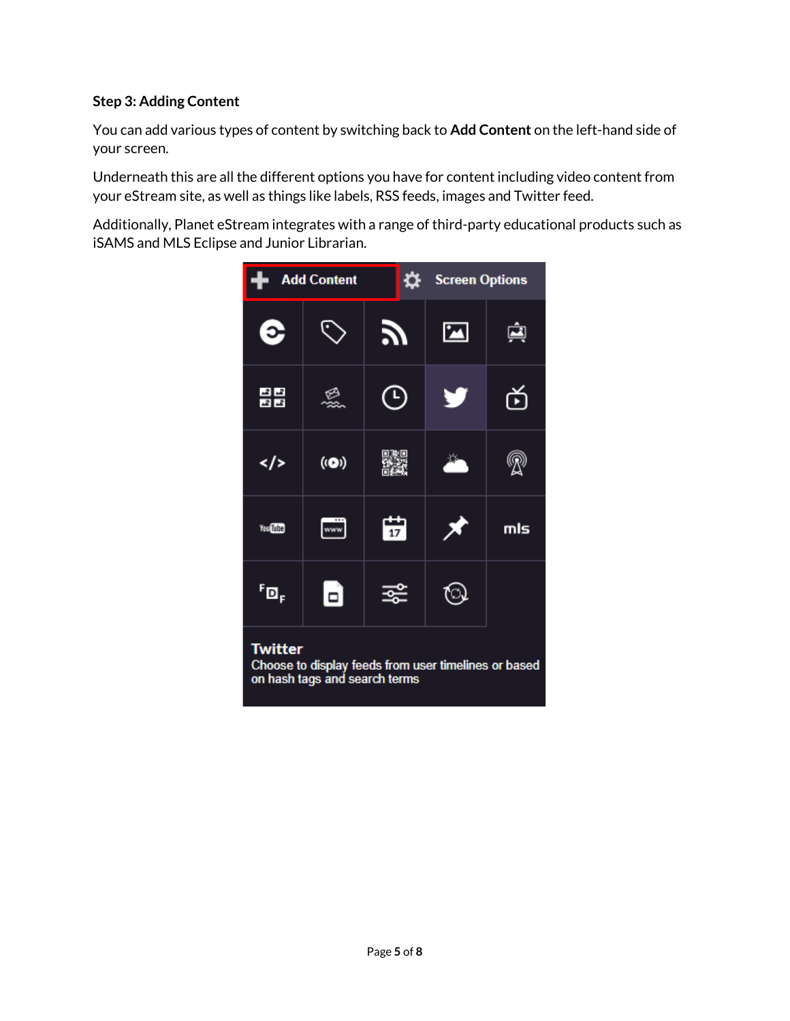## **Step 3: Adding Content**

You can add various types of content by switching back to **Add Content** on the left-hand side of your screen.

Underneath this are all the different options you have for content including video content from your eStream site, as well as things like labels, RSS feeds, images and Twitter feed.

Additionally, Planet eStream integrates with a range of third-party educational products such as iSAMS and MLS Eclipse and Junior Librarian.

![](_page_4_Figure_4.jpeg)

# **Twitter**

Choose to display feeds from user timelines or based on hash tags and search terms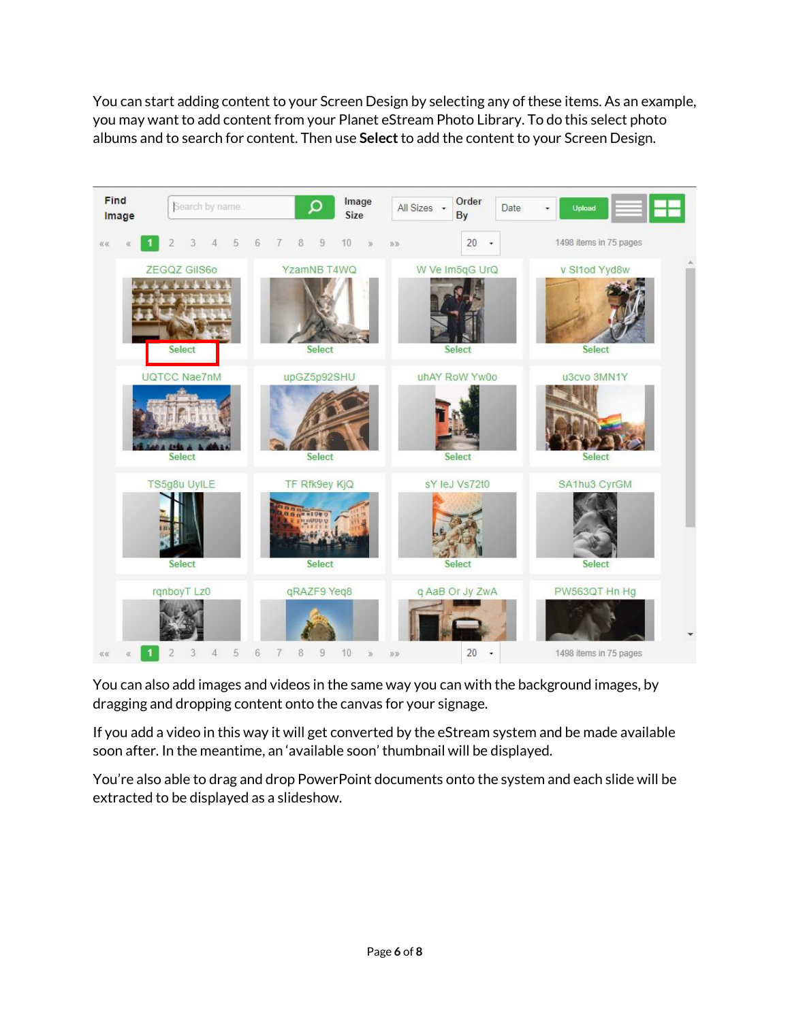You can start adding content to your Screen Design by selecting any of these items. As an example, you may want to add content from your Planet eStream Photo Library. To do this select photo albums and to search for content. Then use **Select**to add the content to your Screen Design.

![](_page_5_Figure_1.jpeg)

You can also add images and videos in the same way you can with the background images, by dragging and dropping content onto the canvas for your signage.

If you add a video in this way it will get converted by the eStream system and be made available soon after. In the meantime, an 'available soon' thumbnail will be displayed.

You're also able to drag and drop PowerPoint documents onto the system and each slide will be extracted to be displayed as a slideshow.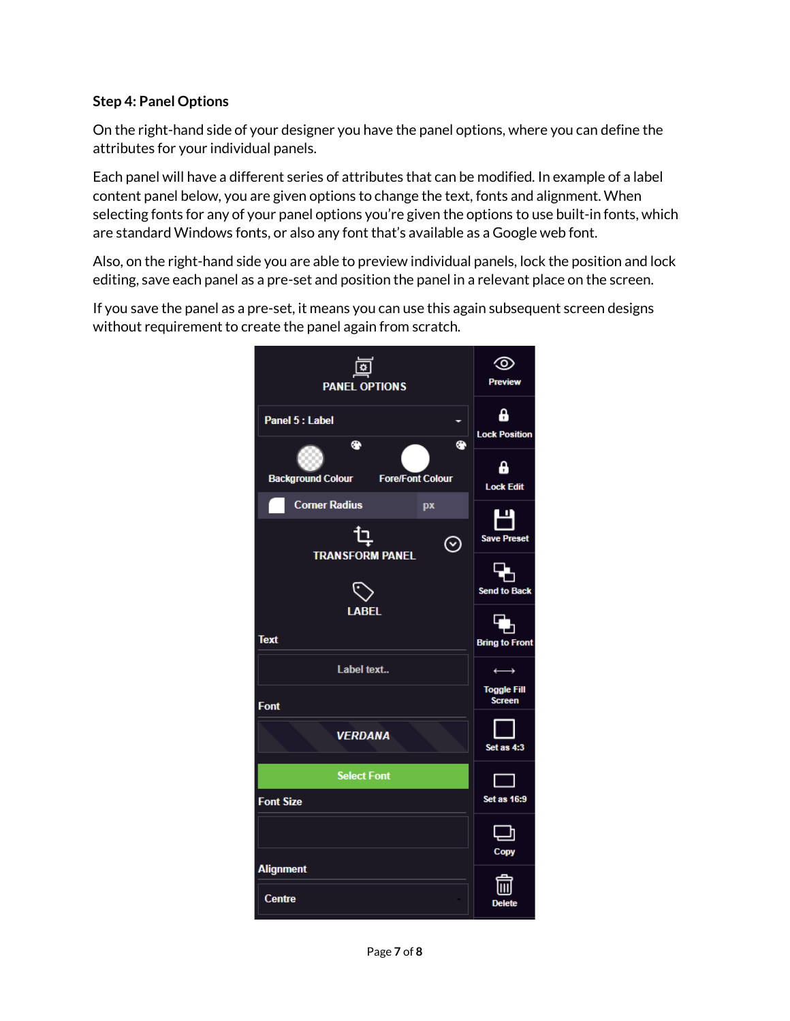## **Step 4: Panel Options**

On the right-hand side of your designer you have the panel options, where you can define the attributes for your individual panels.

Each panel will have a different series of attributes that can be modified. In example of a label content panel below, you are given options to change the text, fonts and alignment. When selecting fonts for any of your panel options you're given the options to use built-in fonts, which are standard Windows fonts, or also any font that's available as a Google web font.

Also, on the right-hand side you are able to preview individual panels, lock the position and lock editing, save each panel as a pre-set and position the panel in a relevant place on the screen.

If you save the panel as a pre-set, it means you can use this again subsequent screen designs without requirement to create the panel again from scratch.

![](_page_6_Picture_5.jpeg)